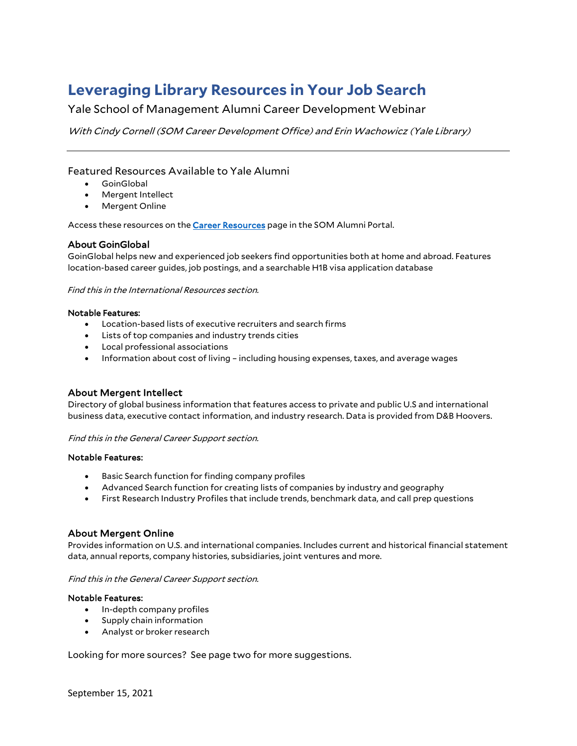# **Leveraging Library Resources in Your Job Search**

Yale School of Management Alumni Career Development Webinar

With Cindy Cornell (SOM Career Development Office) and Erin Wachowicz (Yale Library)

### Featured Resources Available to Yale Alumni

- GoinGlobal
- Mergent Intellect
- Mergent Online

Access these resources on the **Career Resources** page in the SOM Alumni Portal.

#### About GoinGlobal

GoinGlobal helps new and experienced job seekers find opportunities both at home and abroad. Features location-based career guides, job postings, and a searchable H1B visa application database

Find this in the International Resources section.

#### Notable Features:

- Location-based lists of executive recruiters and search firms
- Lists of top companies and industry trends cities
- Local professional associations
- Information about cost of living including housing expenses, taxes, and average wages

#### About Mergent Intellect

Directory of global business information that features access to private and public U.S and international business data, executive contact information, and industry research. Data is provided from D&B Hoovers.

#### Find this in the General Career Support section.

#### Notable Features:

- Basic Search function for finding company profiles
- Advanced Search function for creating lists of companies by industry and geography
- First Research Industry Profiles that include trends, benchmark data, and call prep questions

#### About Mergent Online

Provides information on U.S. and international companies. Includes current and historical financial statement data, annual reports, company histories, subsidiaries, joint ventures and more.

#### Find this in the General Career Support section.

#### Notable Features:

- In-depth company profiles
- Supply chain information
- Analyst or broker research

Looking for more sources? See page two for more suggestions.